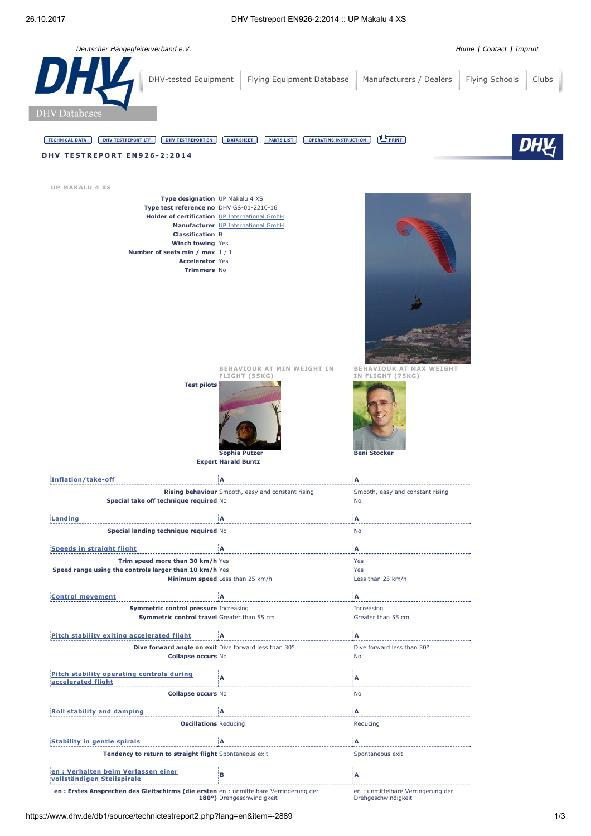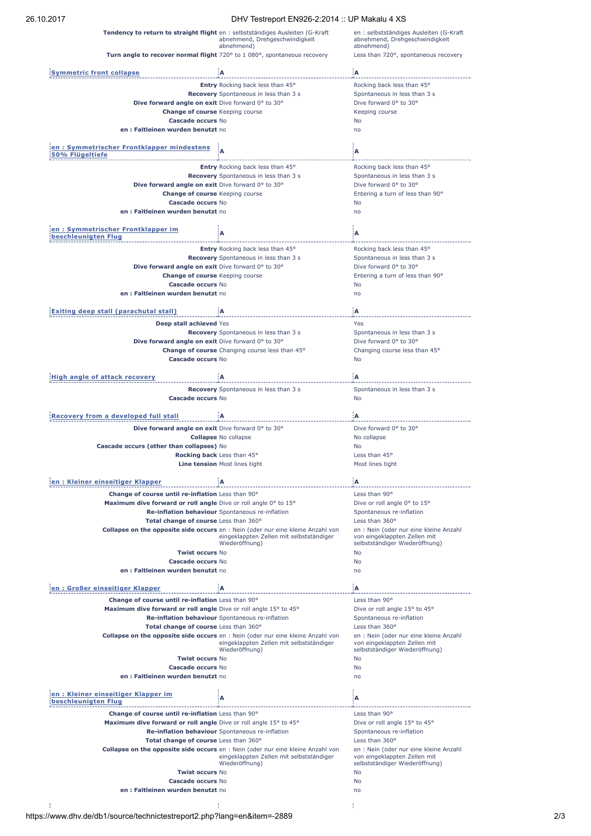## 26.10.2017 DHV Testreport EN926-2:2014 :: UP Makalu 4 XS

|                                                                  | $D_{11}$ restriction to the second second second second second second second second second second second second second second second second second second second second second second second second second second second secon |                                                                                         |
|------------------------------------------------------------------|--------------------------------------------------------------------------------------------------------------------------------------------------------------------------------------------------------------------------------|-----------------------------------------------------------------------------------------|
|                                                                  | Tendency to return to straight flight en : selbstständiges Ausleiten (G-Kraft<br>abnehmend, Drehgeschwindigkeit<br>abnehmend)                                                                                                  | en : selbstständiges Ausleiten (G-Kraft<br>abnehmend, Drehgeschwindigkeit<br>abnehmend) |
|                                                                  | Turn angle to recover normal flight 720° to 1 080°, spontaneous recovery                                                                                                                                                       | Less than 720°, spontaneous recovery                                                    |
|                                                                  |                                                                                                                                                                                                                                |                                                                                         |
| <b>Symmetric front collapse</b>                                  | ١A                                                                                                                                                                                                                             | ۱A.                                                                                     |
|                                                                  | <b>Entry</b> Rocking back less than 45°                                                                                                                                                                                        | Rocking back less than 45°<br>Spontaneous in less than 3 s                              |
| Dive forward angle on exit Dive forward 0° to 30°                | <b>Recovery</b> Spontaneous in less than 3 s                                                                                                                                                                                   | Dive forward 0° to 30°                                                                  |
| <b>Change of course</b> Keeping course                           |                                                                                                                                                                                                                                | Keeping course                                                                          |
| Cascade occurs No                                                |                                                                                                                                                                                                                                | No                                                                                      |
| en: Faltleinen wurden benutzt no                                 |                                                                                                                                                                                                                                | n <sub>0</sub>                                                                          |
|                                                                  |                                                                                                                                                                                                                                |                                                                                         |
| en: Symmetrischer Frontklapper mindestens<br>50% Flügeltiefe     |                                                                                                                                                                                                                                | A                                                                                       |
|                                                                  | <b>Entry</b> Rocking back less than 45°                                                                                                                                                                                        | Rocking back less than 45°                                                              |
|                                                                  | <b>Recovery</b> Spontaneous in less than 3 s                                                                                                                                                                                   | Spontaneous in less than 3 s                                                            |
| <b>Dive forward angle on exit</b> Dive forward 0° to 30°         |                                                                                                                                                                                                                                | Dive forward 0° to 30°                                                                  |
| <b>Change of course</b> Keeping course<br>Cascade occurs No      |                                                                                                                                                                                                                                | Entering a turn of less than 90°<br>No                                                  |
| en: Faltleinen wurden benutzt no                                 |                                                                                                                                                                                                                                | no                                                                                      |
|                                                                  |                                                                                                                                                                                                                                |                                                                                         |
| en : Symmetrischer Frontklapper im<br>beschleuniaten Flua        | A                                                                                                                                                                                                                              | А                                                                                       |
|                                                                  | Entry Rocking back less than 45°                                                                                                                                                                                               | Rocking back less than 45°                                                              |
|                                                                  | <b>Recovery</b> Spontaneous in less than 3 s                                                                                                                                                                                   | Spontaneous in less than 3 s                                                            |
| Dive forward angle on exit Dive forward 0° to 30°                |                                                                                                                                                                                                                                | Dive forward 0° to 30°                                                                  |
| <b>Change of course</b> Keeping course                           |                                                                                                                                                                                                                                | Entering a turn of less than 90°                                                        |
| Cascade occurs No                                                |                                                                                                                                                                                                                                | No                                                                                      |
| en: Faltleinen wurden benutzt no                                 |                                                                                                                                                                                                                                | n <sub>0</sub>                                                                          |
| Exiting deep stall (parachutal stall)                            | İΑ                                                                                                                                                                                                                             | İΑ                                                                                      |
|                                                                  |                                                                                                                                                                                                                                |                                                                                         |
| Deep stall achieved Yes                                          | <b>Recovery</b> Spontaneous in less than 3 s                                                                                                                                                                                   | Yes<br>Spontaneous in less than 3 s                                                     |
| Dive forward angle on exit Dive forward 0° to 30°                |                                                                                                                                                                                                                                | Dive forward 0° to 30°                                                                  |
|                                                                  | Change of course Changing course less than 45°                                                                                                                                                                                 | Changing course less than 45°                                                           |
| Cascade occurs No                                                |                                                                                                                                                                                                                                | No                                                                                      |
| <b>High angle of attack recovery</b>                             | İΑ                                                                                                                                                                                                                             | İΑ                                                                                      |
|                                                                  | Recovery Spontaneous in less than 3 s                                                                                                                                                                                          |                                                                                         |
| Cascade occurs No                                                |                                                                                                                                                                                                                                | Spontaneous in less than 3 s<br>No                                                      |
| <b>Recovery from a developed full stall</b>                      | ١A                                                                                                                                                                                                                             | ١A                                                                                      |
| Dive forward angle on exit Dive forward 0° to 30°                |                                                                                                                                                                                                                                | Dive forward 0° to 30°                                                                  |
|                                                                  | <b>Collapse No collapse</b>                                                                                                                                                                                                    | No collapse                                                                             |
| Cascade occurs (other than collapses) No                         |                                                                                                                                                                                                                                | No                                                                                      |
|                                                                  | <b>Rocking back</b> Less than 45°                                                                                                                                                                                              | Less than 45°                                                                           |
|                                                                  | Line tension Most lines tight                                                                                                                                                                                                  | Most lines tight                                                                        |
|                                                                  |                                                                                                                                                                                                                                |                                                                                         |
| Kleiner einseitiger Klapper                                      | Α                                                                                                                                                                                                                              | Α                                                                                       |
| Change of course until re-inflation Less than 90°                |                                                                                                                                                                                                                                | Less than 90°                                                                           |
| Maximum dive forward or roll angle Dive or roll angle 0° to 15°  |                                                                                                                                                                                                                                | Dive or roll angle 0° to 15°                                                            |
| Total change of course Less than 360°                            | Re-inflation behaviour Spontaneous re-inflation                                                                                                                                                                                | Spontaneous re-inflation<br>Less than 360°                                              |
|                                                                  | Collapse on the opposite side occurs en : Nein (oder nur eine kleine Anzahl von                                                                                                                                                | en : Nein (oder nur eine kleine Anzahl                                                  |
|                                                                  | eingeklappten Zellen mit selbstständiger<br>Wiederöffnung)                                                                                                                                                                     | von eingeklappten Zellen mit<br>selbstständiger Wiederöffnung)                          |
| <b>Twist occurs No</b>                                           |                                                                                                                                                                                                                                | No                                                                                      |
| Cascade occurs No<br>en: Faltleinen wurden benutzt no            |                                                                                                                                                                                                                                | <b>No</b><br>no                                                                         |
|                                                                  |                                                                                                                                                                                                                                |                                                                                         |
| en: Großer einseitiger Klapper                                   | A                                                                                                                                                                                                                              | A                                                                                       |
| Change of course until re-inflation Less than 90°                |                                                                                                                                                                                                                                | Less than 90°                                                                           |
| Maximum dive forward or roll angle Dive or roll angle 15° to 45° |                                                                                                                                                                                                                                | Dive or roll angle 15° to 45°                                                           |
|                                                                  | Re-inflation behaviour Spontaneous re-inflation                                                                                                                                                                                | Spontaneous re-inflation                                                                |
| Total change of course Less than 360°                            |                                                                                                                                                                                                                                | Less than 360°                                                                          |
|                                                                  | Collapse on the opposite side occurs en : Nein (oder nur eine kleine Anzahl von                                                                                                                                                | en : Nein (oder nur eine kleine Anzahl                                                  |
|                                                                  | eingeklappten Zellen mit selbstständiger<br>Wiederöffnung)                                                                                                                                                                     | von eingeklappten Zellen mit<br>selbstständiger Wiederöffnung)                          |
| <b>Twist occurs No</b>                                           |                                                                                                                                                                                                                                | No                                                                                      |
| Cascade occurs No                                                |                                                                                                                                                                                                                                | No                                                                                      |
| en : Faltleinen wurden benutzt no                                |                                                                                                                                                                                                                                | no                                                                                      |
| en: Kleiner einseitiger Klapper im                               | A                                                                                                                                                                                                                              | A                                                                                       |
| beschleunigten Flug                                              |                                                                                                                                                                                                                                |                                                                                         |
| Change of course until re-inflation Less than 90°                |                                                                                                                                                                                                                                | Less than 90°                                                                           |
| Maximum dive forward or roll angle Dive or roll angle 15° to 45° |                                                                                                                                                                                                                                | Dive or roll angle 15° to 45°                                                           |
|                                                                  | Re-inflation behaviour Spontaneous re-inflation                                                                                                                                                                                | Spontaneous re-inflation                                                                |
| Total change of course Less than 360°                            |                                                                                                                                                                                                                                | Less than 360°                                                                          |
|                                                                  | Collapse on the opposite side occurs en : Nein (oder nur eine kleine Anzahl von<br>eingeklappten Zellen mit selbstständiger                                                                                                    | en : Nein (oder nur eine kleine Anzahl<br>von eingeklappten Zellen mit                  |
|                                                                  | Wiederöffnung)                                                                                                                                                                                                                 | selbstständiger Wiederöffnung)                                                          |
| <b>Twist occurs No</b>                                           |                                                                                                                                                                                                                                | No                                                                                      |
| Cascade occurs No                                                |                                                                                                                                                                                                                                | No                                                                                      |
| en: Faltleinen wurden benutzt no                                 |                                                                                                                                                                                                                                | no                                                                                      |
|                                                                  |                                                                                                                                                                                                                                |                                                                                         |
|                                                                  |                                                                                                                                                                                                                                |                                                                                         |